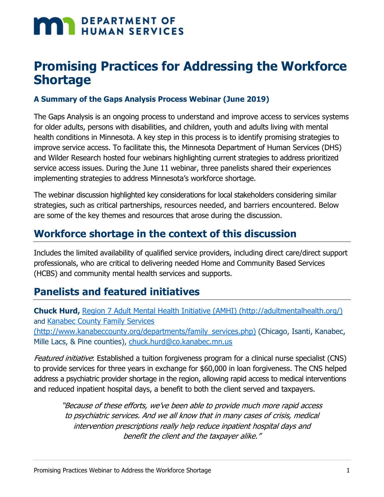# **MAN DEPARTMENT OF HUMAN SERVICES**

## **Promising Practices for Addressing the Workforce Shortage**

#### **A Summary of the Gaps Analysis Process Webinar (June 2019)**

The Gaps Analysis is an ongoing process to understand and improve access to services systems for older adults, persons with disabilities, and children, youth and adults living with mental health conditions in Minnesota. A key step in this process is to identify promising strategies to improve service access. To facilitate this, the Minnesota Department of Human Services (DHS) and Wilder Research hosted four webinars highlighting current strategies to address prioritized service access issues. During the June 11 webinar, three panelists shared their experiences implementing strategies to address Minnesota's workforce shortage.

The webinar discussion highlighted key considerations for local stakeholders considering similar strategies, such as critical partnerships, resources needed, and barriers encountered. Below are some of the key themes and resources that arose during the discussion.

#### **Workforce shortage in the context of this discussion**

Includes the limited availability of qualified service providers, including direct care/direct support professionals, who are critical to delivering needed Home and Community Based Services (HCBS) and community mental health services and supports.

#### **Panelists and featured initiatives**

**Chuck Hurd,** [Region 7 Adult Mental Health Initiative \(AMHI\) \(http://adultmentalhealth.org/\)](http://adultmentalhealth.org/) and [Kanabec County Family Services](http://www.kanabeccounty.org/departments/family_services.php)  [\(http://www.kanabeccounty.org/departments/family\\_services.php\)](http://www.kanabeccounty.org/departments/family_services.php) (Chicago, Isanti, Kanabec, Mille Lacs, & Pine counties), [chuck.hurd@co.kanabec.mn.us](mailto:chuck.hurd@co.kanabec.mn.us)

Featured initiative: Established a tuition forgiveness program for a clinical nurse specialist (CNS) to provide services for three years in exchange for \$60,000 in loan forgiveness. The CNS helped address a psychiatric provider shortage in the region, allowing rapid access to medical interventions and reduced inpatient hospital days, a benefit to both the client served and taxpayers.

"Because of these efforts, we've been able to provide much more rapid access to psychiatric services. And we all know that in many cases of crisis, medical intervention prescriptions really help reduce inpatient hospital days and benefit the client and the taxpayer alike."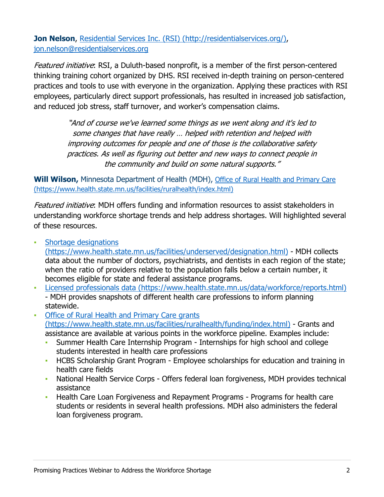**Jon Nelson**, [Residential Services Inc. \(RSI\) \(http://residentialservices.org/\),](http://www.residentialservices.org/) [jon.nelson@residentialservices.org](mailto:jon.nelson@residentialservices.org)

Featured initiative: RSI, a Duluth-based nonprofit, is a member of the first person-centered thinking training cohort organized by DHS. RSI received in-depth training on person-centered practices and tools to use with everyone in the organization. Applying these practices with RSI employees, particularly direct support professionals, has resulted in increased job satisfaction, and reduced job stress, staff turnover, and worker's compensation claims.

> "And of course we've learned some things as we went along and it's led to some changes that have really … helped with retention and helped with improving outcomes for people and one of those is the collaborative safety practices. As well as figuring out better and new ways to connect people in the community and build on some natural supports."

**Will Wilson,** Minnesota Department of Health (MDH), [Office of Rural Health and Primary Care](https://www.health.state.mn.us/facilities/ruralhealth/index.html)  [\(https://www.health.state.mn.us/facilities/ruralhealth/index.html\)](https://www.health.state.mn.us/facilities/ruralhealth/index.html)

Featured initiative: MDH offers funding and information resources to assist stakeholders in understanding workforce shortage trends and help address shortages. Will highlighted several of these resources.

▪ [Shortage designations](https://www.health.state.mn.us/facilities/underserved/designation.html) 

[\(https://www.health.state.mn.us/facilities/underserved/designation.html\)](https://www.health.state.mn.us/facilities/underserved/designation.html) - MDH collects data about the number of doctors, psychiatrists, and dentists in each region of the state; when the ratio of providers relative to the population falls below a certain number, it becomes eligible for state and federal assistance programs.

- [Licensed professionals data \(https://www.health.state.mn.us/data/workforce/reports.html\)](https://www.health.state.mn.us/data/workforce/reports.html) - MDH provides snapshots of different health care professions to inform planning statewide.
- [Office of Rural Health and Primary Care grants](http://www.health.state.mn.us/facilities/ruralhealth/funding/index.html)  [\(https://www.health.state.mn.us/facilities/ruralhealth/funding/index.html\)](http://www.health.state.mn.us/facilities/ruralhealth/funding/index.html) - Grants and assistance are available at various points in the workforce pipeline. Examples include:
	- Summer Health Care Internship Program Internships for high school and college students interested in health care professions
	- **HCBS Scholarship Grant Program Employee scholarships for education and training in** health care fields
	- National Health Service Corps Offers federal loan forgiveness, MDH provides technical assistance
	- **Health Care Loan Forgiveness and Repayment Programs Programs for health care** students or residents in several health professions. MDH also administers the federal loan forgiveness program.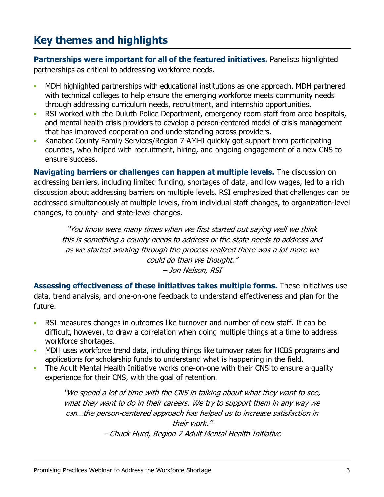### **Key themes and highlights**

**Partnerships were important for all of the featured initiatives.** Panelists highlighted partnerships as critical to addressing workforce needs.

- MDH highlighted partnerships with educational institutions as one approach. MDH partnered with technical colleges to help ensure the emerging workforce meets community needs through addressing curriculum needs, recruitment, and internship opportunities.
- **RSI worked with the Duluth Police Department, emergency room staff from area hospitals,** and mental health crisis providers to develop a person-centered model of crisis management that has improved cooperation and understanding across providers.
- Kanabec County Family Services/Region 7 AMHI quickly got support from participating counties, who helped with recruitment, hiring, and ongoing engagement of a new CNS to ensure success.

**Navigating barriers or challenges can happen at multiple levels.** The discussion on addressing barriers, including limited funding, shortages of data, and low wages, led to a rich discussion about addressing barriers on multiple levels. RSI emphasized that challenges can be addressed simultaneously at multiple levels, from individual staff changes, to organization-level changes, to county- and state-level changes.

"You know were many times when we first started out saying well we think this is something a county needs to address or the state needs to address and as we started working through the process realized there was a lot more we could do than we thought." – Jon Nelson, RSI

**Assessing effectiveness of these initiatives takes multiple forms.** These initiatives use data, trend analysis, and one-on-one feedback to understand effectiveness and plan for the future.

- RSI measures changes in outcomes like turnover and number of new staff. It can be difficult, however, to draw a correlation when doing multiple things at a time to address workforce shortages.
- **MDH uses workforce trend data, including things like turnover rates for HCBS programs and** applications for scholarship funds to understand what is happening in the field.
- The Adult Mental Health Initiative works one-on-one with their CNS to ensure a quality experience for their CNS, with the goal of retention.

"We spend a lot of time with the CNS in talking about what they want to see, what they want to do in their careers. We try to support them in any way we can…the person-centered approach has helped us to increase satisfaction in their work." – Chuck Hurd, Region 7 Adult Mental Health Initiative